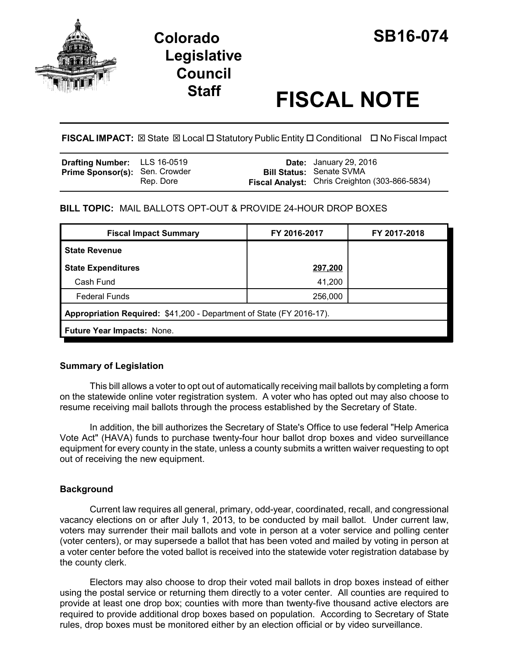

# **Colorado SB16-074 Legislative Council**

# **Staff FISCAL NOTE**

**FISCAL IMPACT:** ⊠ State ⊠ Local □ Statutory Public Entity □ Conditional □ No Fiscal Impact

| Drafting Number: LLS 16-0519          |           | <b>Date:</b> January 29, 2016                  |
|---------------------------------------|-----------|------------------------------------------------|
| <b>Prime Sponsor(s): Sen. Crowder</b> |           | <b>Bill Status: Senate SVMA</b>                |
|                                       | Rep. Dore | Fiscal Analyst: Chris Creighton (303-866-5834) |

### **BILL TOPIC:** MAIL BALLOTS OPT-OUT & PROVIDE 24-HOUR DROP BOXES

| <b>Fiscal Impact Summary</b>                                         | FY 2016-2017 | FY 2017-2018 |  |  |
|----------------------------------------------------------------------|--------------|--------------|--|--|
| <b>State Revenue</b>                                                 |              |              |  |  |
| <b>State Expenditures</b>                                            | 297,200      |              |  |  |
| Cash Fund                                                            | 41,200       |              |  |  |
| <b>Federal Funds</b>                                                 | 256,000      |              |  |  |
| Appropriation Required: \$41,200 - Department of State (FY 2016-17). |              |              |  |  |
| Future Year Impacts: None.                                           |              |              |  |  |

#### **Summary of Legislation**

This bill allows a voter to opt out of automatically receiving mail ballots by completing a form on the statewide online voter registration system. A voter who has opted out may also choose to resume receiving mail ballots through the process established by the Secretary of State.

In addition, the bill authorizes the Secretary of State's Office to use federal "Help America Vote Act" (HAVA) funds to purchase twenty-four hour ballot drop boxes and video surveillance equipment for every county in the state, unless a county submits a written waiver requesting to opt out of receiving the new equipment.

## **Background**

Current law requires all general, primary, odd-year, coordinated, recall, and congressional vacancy elections on or after July 1, 2013, to be conducted by mail ballot. Under current law, voters may surrender their mail ballots and vote in person at a voter service and polling center (voter centers), or may supersede a ballot that has been voted and mailed by voting in person at a voter center before the voted ballot is received into the statewide voter registration database by the county clerk.

Electors may also choose to drop their voted mail ballots in drop boxes instead of either using the postal service or returning them directly to a voter center. All counties are required to provide at least one drop box; counties with more than twenty-five thousand active electors are required to provide additional drop boxes based on population. According to Secretary of State rules, drop boxes must be monitored either by an election official or by video surveillance.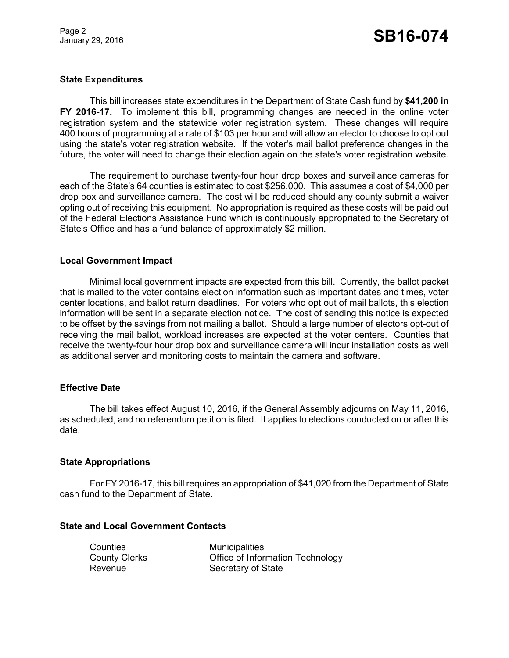#### **State Expenditures**

This bill increases state expenditures in the Department of State Cash fund by **\$41,200 in FY 2016-17.** To implement this bill, programming changes are needed in the online voter registration system and the statewide voter registration system. These changes will require 400 hours of programming at a rate of \$103 per hour and will allow an elector to choose to opt out using the state's voter registration website. If the voter's mail ballot preference changes in the future, the voter will need to change their election again on the state's voter registration website.

The requirement to purchase twenty-four hour drop boxes and surveillance cameras for each of the State's 64 counties is estimated to cost \$256,000. This assumes a cost of \$4,000 per drop box and surveillance camera. The cost will be reduced should any county submit a waiver opting out of receiving this equipment. No appropriation is required as these costs will be paid out of the Federal Elections Assistance Fund which is continuously appropriated to the Secretary of State's Office and has a fund balance of approximately \$2 million.

#### **Local Government Impact**

Minimal local government impacts are expected from this bill. Currently, the ballot packet that is mailed to the voter contains election information such as important dates and times, voter center locations, and ballot return deadlines. For voters who opt out of mail ballots, this election information will be sent in a separate election notice. The cost of sending this notice is expected to be offset by the savings from not mailing a ballot. Should a large number of electors opt-out of receiving the mail ballot, workload increases are expected at the voter centers. Counties that receive the twenty-four hour drop box and surveillance camera will incur installation costs as well as additional server and monitoring costs to maintain the camera and software.

#### **Effective Date**

The bill takes effect August 10, 2016, if the General Assembly adjourns on May 11, 2016, as scheduled, and no referendum petition is filed. It applies to elections conducted on or after this date.

#### **State Appropriations**

For FY 2016-17, this bill requires an appropriation of \$41,020 from the Department of State cash fund to the Department of State.

#### **State and Local Government Contacts**

| Counties             | <b>Municipalities</b>            |
|----------------------|----------------------------------|
| <b>County Clerks</b> | Office of Information Technology |
| Revenue              | Secretary of State               |